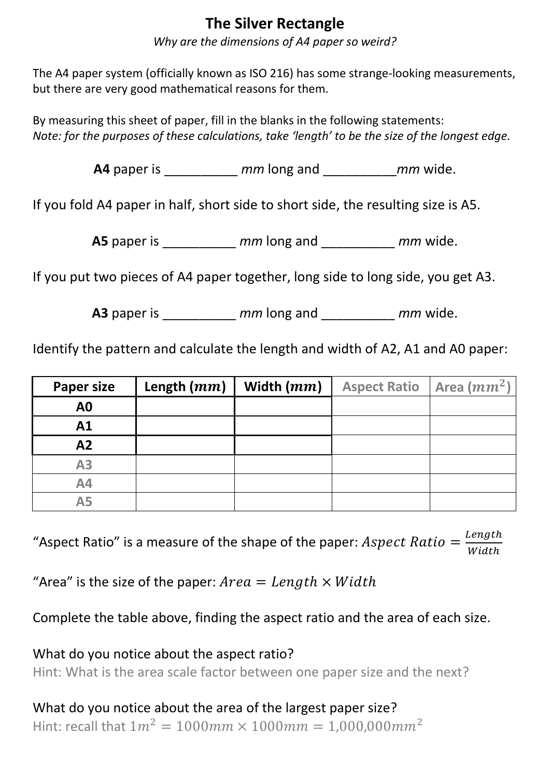## **The Silver Rectangle**

*Why are the dimensions of A4 paper so weird?*

The A4 paper system (officially known as ISO 216) has some strange-looking measurements, but there are very good mathematical reasons for them.

By measuring this sheet of paper, fill in the blanks in the following statements: *Note: for the purposes of these calculations, take 'length' to be the size of the longest edge.* 

**A4** paper is \_\_\_\_\_\_\_\_\_\_ *mm* long and \_\_\_\_\_\_\_\_\_\_*mm* wide.

If you fold A4 paper in half, short side to short side, the resulting size is A5.

**A5** paper is \_\_\_\_\_\_\_\_\_\_ *mm* long and \_\_\_\_\_\_\_\_\_\_ *mm* wide.

If you put two pieces of A4 paper together, long side to long side, you get A3.

**A3** paper is \_\_\_\_\_\_\_\_\_\_ *mm* long and \_\_\_\_\_\_\_\_\_\_ *mm* wide.

Identify the pattern and calculate the length and width of A2, A1 and A0 paper:

| <b>Paper size</b> | Length $(mm)$ | Width $(mm)$ | <b>Aspect Ratio</b> | Area $(mm^2)$ |
|-------------------|---------------|--------------|---------------------|---------------|
| A <sub>0</sub>    |               |              |                     |               |
| A1                |               |              |                     |               |
| A2                |               |              |                     |               |
| A3                |               |              |                     |               |
| A4                |               |              |                     |               |
| <b>A5</b>         |               |              |                     |               |

"Aspect Ratio" is a measure of the shape of the paper: Aspect Ratio =  $\frac{Length}{Width}$ Width

"Area" is the size of the paper:  $Area = Length \times Width$ 

Complete the table above, finding the aspect ratio and the area of each size.

What do you notice about the aspect ratio?

Hint: What is the area scale factor between one paper size and the next?

What do you notice about the area of the largest paper size? Hint: recall that  $1m^2 = 1000$   $mm \times 1000$   $mm = 1.000$ , 000  $mm^2$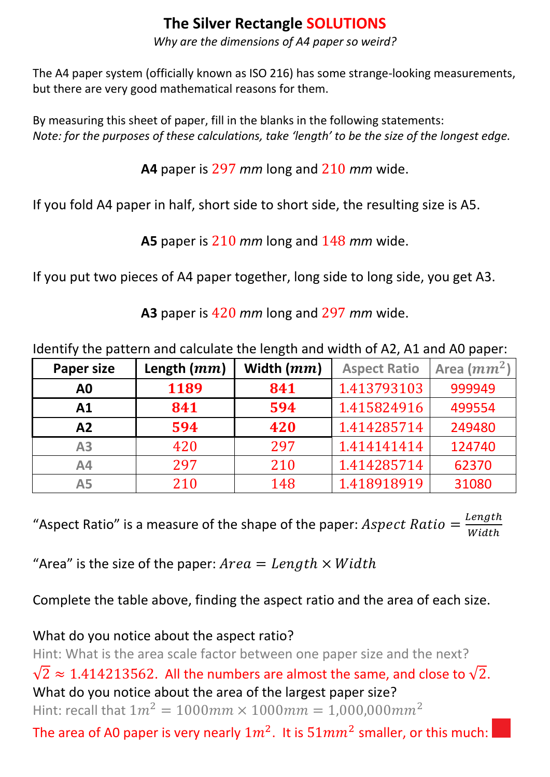# **The Silver Rectangle SOLUTIONS**

*Why are the dimensions of A4 paper so weird?*

The A4 paper system (officially known as ISO 216) has some strange-looking measurements, but there are very good mathematical reasons for them.

By measuring this sheet of paper, fill in the blanks in the following statements: *Note: for the purposes of these calculations, take 'length' to be the size of the longest edge.* 

**A4** paper is 297 *mm* long and 210 *mm* wide.

If you fold A4 paper in half, short side to short side, the resulting size is A5.

**A5** paper is 210 *mm* long and 148 *mm* wide.

If you put two pieces of A4 paper together, long side to long side, you get A3.

**A3** paper is 420 *mm* long and 297 *mm* wide.

Identify the pattern and calculate the length and width of A2, A1 and A0 paper:

| <b>Paper size</b> | Length $(mm)$ | Width $(mm)$ | <b>Aspect Ratio</b> | Area $(mm^2)$ |
|-------------------|---------------|--------------|---------------------|---------------|
| A0                | 1189          | 841          | 1.413793103         | 999949        |
| A <sub>1</sub>    | 841           | 594          | 1.415824916         | 499554        |
| A2                | 594           | 420          | 1.414285714         | 249480        |
| A <sub>3</sub>    | 420           | 297          | 1.414141414         | 124740        |
| A4                | 297           | 210          | 1.414285714         | 62370         |
| <b>A5</b>         | 210           | 148          | 1.418918919         | 31080         |

"Aspect Ratio" is a measure of the shape of the paper: Aspect Ratio =  $\frac{Length}{Width}$ Width

"Area" is the size of the paper:  $Area = Length \times Width$ 

Complete the table above, finding the aspect ratio and the area of each size.

### What do you notice about the aspect ratio?

Hint: What is the area scale factor between one paper size and the next?

 $\sqrt{2} \approx 1.414213562$ . All the numbers are almost the same, and close to  $\sqrt{2}$ . What do you notice about the area of the largest paper size? Hint: recall that  $1m^2 = 1000$   $mm \times 1000$   $mm = 1.000$ , 000  $mm^2$ 

The area of A0 paper is very nearly  $1m^2$ . It is  $51mm^2$  smaller, or this much: